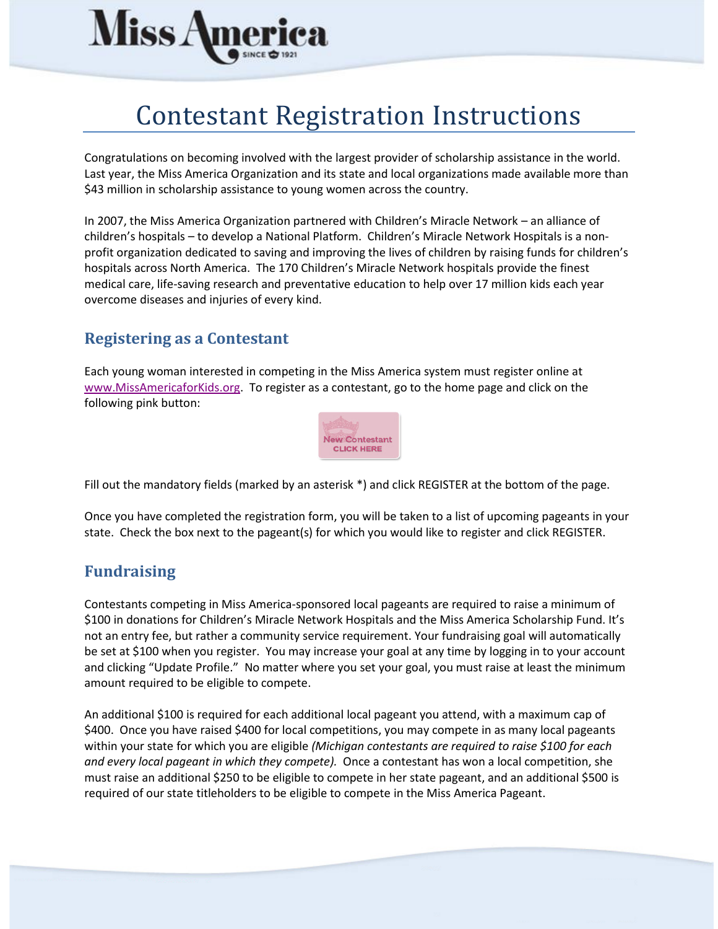

# Contestant Registration Instructions

Congratulations on becoming involved with the largest provider of scholarship assistance in the world. Last year, the Miss America Organization and its state and local organizations made available more than \$43 million in scholarship assistance to young women across the country.

In 2007, the Miss America Organization partnered with Children's Miracle Network – an alliance of children's hospitals – to develop a National Platform. Children's Miracle Network Hospitals is a nonprofit organization dedicated to saving and improving the lives of children by raising funds for children's hospitals across North America. The 170 Children's Miracle Network hospitals provide the finest medical care, life-saving research and preventative education to help over 17 million kids each year overcome diseases and injuries of every kind.

### **Registering as a Contestant**

Each young woman interested in competing in the Miss America system must register online at [www.MissAmericaforKids.org.](http://www.missamericaforkids.org/) To register as a contestant, go to the home page and click on the following pink button:



Fill out the mandatory fields (marked by an asterisk \*) and click REGISTER at the bottom of the page.

Once you have completed the registration form, you will be taken to a list of upcoming pageants in your state. Check the box next to the pageant(s) for which you would like to register and click REGISTER.

### **Fundraising**

Contestants competing in Miss America-sponsored local pageants are required to raise a minimum of \$100 in donations for Children's Miracle Network Hospitals and the Miss America Scholarship Fund. It's not an entry fee, but rather a community service requirement. Your fundraising goal will automatically be set at \$100 when you register. You may increase your goal at any time by logging in to your account and clicking "Update Profile." No matter where you set your goal, you must raise at least the minimum amount required to be eligible to compete.

An additional \$100 is required for each additional local pageant you attend, with a maximum cap of \$400. Once you have raised \$400 for local competitions, you may compete in as many local pageants within your state for which you are eligible *(Michigan contestants are required to raise \$100 for each and every local pageant in which they compete).* Once a contestant has won a local competition, she must raise an additional \$250 to be eligible to compete in her state pageant, and an additional \$500 is required of our state titleholders to be eligible to compete in the Miss America Pageant.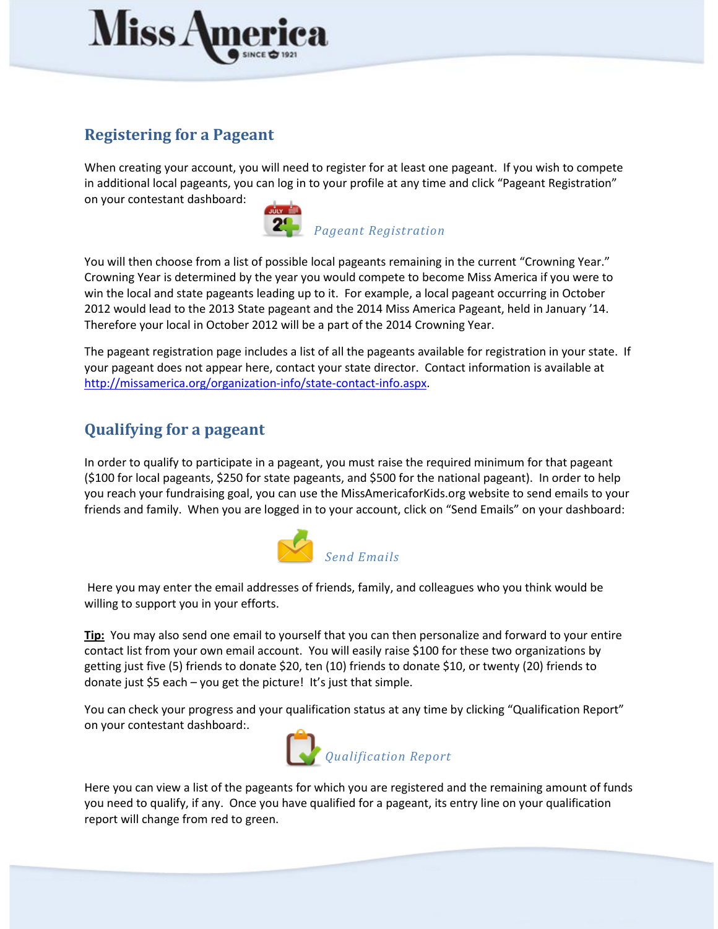

## **Registering for a Pageant**

When creating your account, you will need to register for at least one pageant. If you wish to compete in additional local pageants, you can log in to your profile at any time and click "Pageant Registration" on your contestant dashboard:



You will then choose from a list of possible local pageants remaining in the current "Crowning Year." Crowning Year is determined by the year you would compete to become Miss America if you were to win the local and state pageants leading up to it. For example, a local pageant occurring in October 2012 would lead to the 2013 State pageant and the 2014 Miss America Pageant, held in January '14. Therefore your local in October 2012 will be a part of the 2014 Crowning Year.

The pageant registration page includes a list of all the pageants available for registration in your state. If your pageant does not appear here, contact your state director. Contact information is available at [http://missamerica.org/organization-info/state-contact-info.aspx.](http://missamerica.org/organization-info/state-contact-info.aspx)

# **Qualifying for a pageant**

In order to qualify to participate in a pageant, you must raise the required minimum for that pageant (\$100 for local pageants, \$250 for state pageants, and \$500 for the national pageant). In order to help you reach your fundraising goal, you can use the MissAmericaforKids.org website to send emails to your friends and family. When you are logged in to your account, click on "Send Emails" on your dashboard:



Here you may enter the email addresses of friends, family, and colleagues who you think would be willing to support you in your efforts.

**Tip:** You may also send one email to yourself that you can then personalize and forward to your entire contact list from your own email account. You will easily raise \$100 for these two organizations by getting just five (5) friends to donate \$20, ten (10) friends to donate \$10, or twenty (20) friends to donate just \$5 each – you get the picture! It's just that simple.

You can check your progress and your qualification status at any time by clicking "Qualification Report" on your contestant dashboard:.



Here you can view a list of the pageants for which you are registered and the remaining amount of funds you need to qualify, if any. Once you have qualified for a pageant, its entry line on your qualification report will change from red to green.